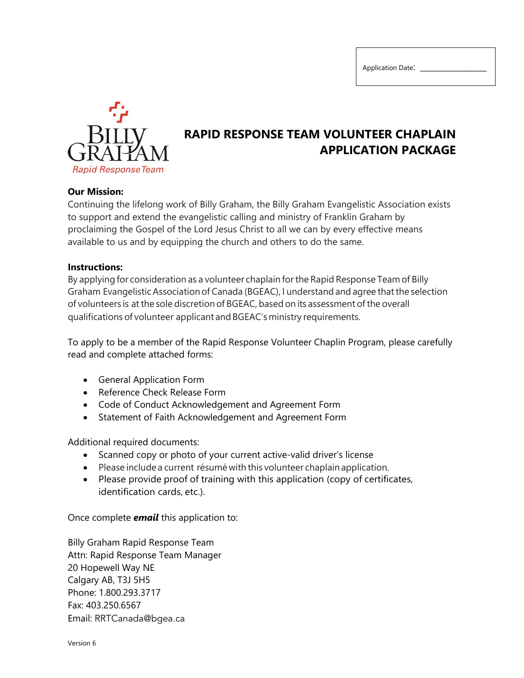

## **RAPID RESPONSE TEAM VOLUNTEER CHAPLAIN APPLICATION PACKAGE**

#### **Our Mission:**

Continuing the lifelong work of Billy Graham, the Billy Graham Evangelistic Association exists to support and extend the evangelistic calling and ministry of Franklin Graham by proclaiming the Gospel of the Lord Jesus Christ to all we can by every effective means available to us and by equipping the church and others to do the same.

#### **Instructions:**

By applying for consideration as a volunteer chaplain for the Rapid Response Team of Billy Graham Evangelistic Association of Canada (BGEAC), I understand and agree that the selection of volunteers is at the sole discretion of BGEAC, based on its assessment of the overall qualifications of volunteer applicant and BGEAC's ministry requirements.

To apply to be a member of the Rapid Response Volunteer Chaplin Program, please carefully read and complete attached forms:

- General Application Form
- Reference Check Release Form
- Code of Conduct Acknowledgement and Agreement Form
- Statement of Faith Acknowledgement and Agreement Form

Additional required documents:

- Scanned copy or photo of your current active-valid driver's license
- Please include a current résumé with this volunteer chaplain application.
- Please provide proof of training with this application (copy of certificates, identification cards, etc.).

Once complete *email* this application to:

Billy Graham Rapid Response Team Attn: Rapid Response Team Manager 20 Hopewell Way NE Calgary AB, T3J 5H5 Phone: 1.800.293.3717 Fax: 403.250.6567 Email: [RRTCanada@bgea.c](mailto:mdoherty@bgea.ca)a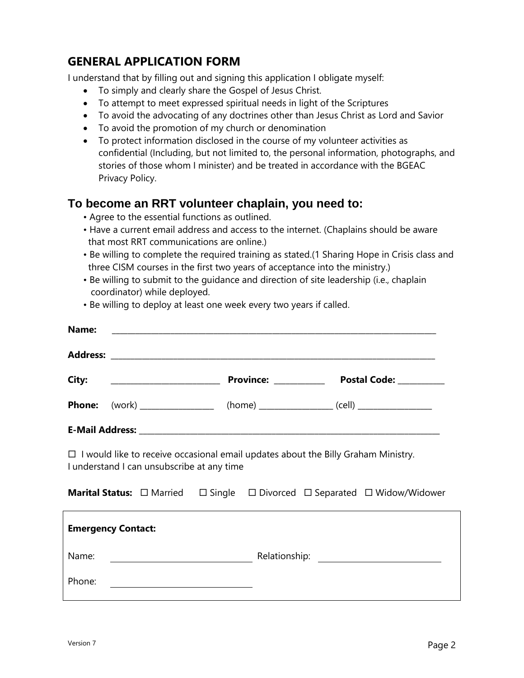## **GENERAL APPLICATION FORM**

I understand that by filling out and signing this application I obligate myself:

- To simply and clearly share the Gospel of Jesus Christ.
- To attempt to meet expressed spiritual needs in light of the Scriptures
- To avoid the advocating of any doctrines other than Jesus Christ as Lord and Savior
- To avoid the promotion of my church or denomination
- To protect information disclosed in the course of my volunteer activities as confidential (Including, but not limited to, the personal information, photographs, and stories of those whom I minister) and be treated in accordance with the BGEAC Privacy Policy.

## **To become an RRT volunteer chaplain, you need to:**

- Agree to the essential functions as outlined.
- Have a current email address and access to the internet. (Chaplains should be aware that most RRT communications are online.)
- Be willing to complete the required training as stated.(1 Sharing Hope in Crisis class and three CISM courses in the first two years of acceptance into the ministry.)
- Be willing to submit to the guidance and direction of site leadership (i.e., chaplain coordinator) while deployed.

| Name:                                                                                                                                  |  |
|----------------------------------------------------------------------------------------------------------------------------------------|--|
|                                                                                                                                        |  |
|                                                                                                                                        |  |
| <b>Phone:</b> (work) ___________________ (home) __________________(cell) ______________                                                |  |
|                                                                                                                                        |  |
| $\Box$ I would like to receive occasional email updates about the Billy Graham Ministry.<br>I understand I can unsubscribe at any time |  |
| <b>Marital Status:</b> □ Married □ Single □ Divorced □ Separated □ Widow/Widower                                                       |  |
| <b>Emergency Contact:</b>                                                                                                              |  |
| Name:                                                                                                                                  |  |
| Phone:                                                                                                                                 |  |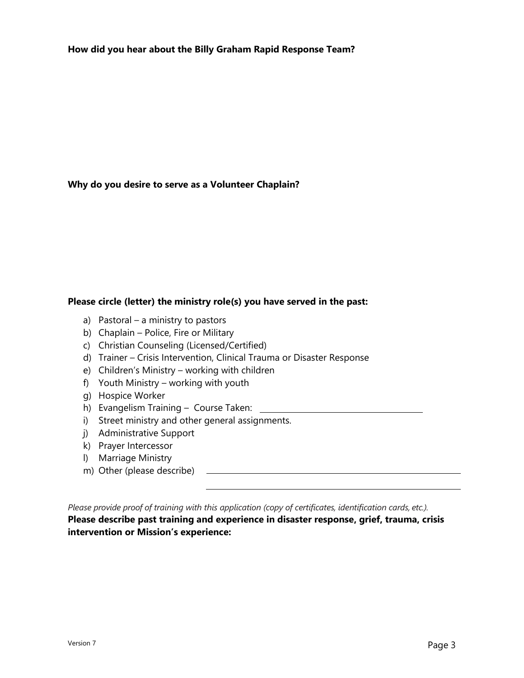**How did you hear about the Billy Graham Rapid Response Team?**

#### **Why do you desire to serve as a Volunteer Chaplain?**

#### **Please circle (letter) the ministry role(s) you have served in the past:**

- a) Pastoral a ministry to pastors
- b) Chaplain Police, Fire or Military
- c) Christian Counseling (Licensed/Certified)
- d) Trainer Crisis Intervention, Clinical Trauma or Disaster Response
- e) Children's Ministry working with children
- f) Youth Ministry working with youth
- g) Hospice Worker
- h) Evangelism Training Course Taken:
- i) Street ministry and other general assignments.
- j) Administrative Support
- k) Prayer Intercessor
- l) Marriage Ministry
- m) Other (please describe)

*Please provide proof of training with this application (copy of certificates, identification cards, etc.).* **Please describe past training and experience in disaster response, grief, trauma, crisis intervention or Mission's experience:**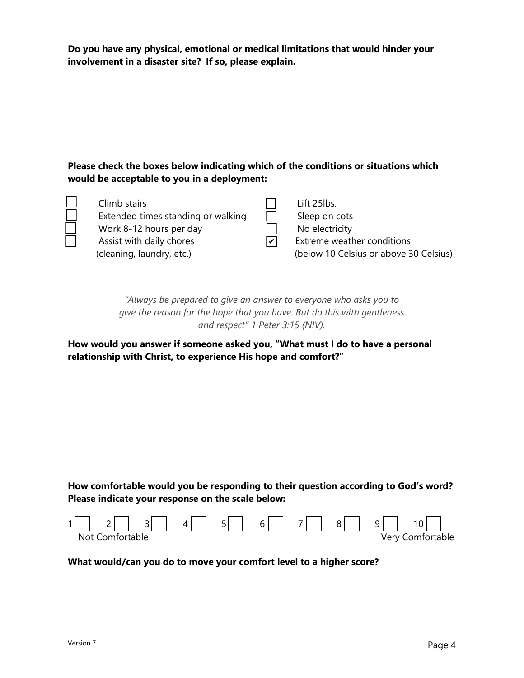**Do you have any physical, emotional or medical limitations that would hinder your involvement in a disaster site? If so, please explain.**

### **Please check the boxes below indicating which of the conditions or situations which would be acceptable to you in a deployment:**

| Climb stairs<br>Extended times standing or walking<br>Work 8-12 hours per day<br>Assist with daily chores | Lift 25lbs.<br>Sleep on cots<br>No electricity<br>Extreme weather conditions |
|-----------------------------------------------------------------------------------------------------------|------------------------------------------------------------------------------|
| (cleaning, laundry, etc.)                                                                                 | (below 10 Celsius or above 30 Celsius)                                       |

*"Always be prepared to give an answer to everyone who asks you to give the reason for the hope that you have. But do this with gentleness and respect" 1 Peter 3:15 (NIV).*

**How would you answer if someone asked you, "What must I do to have a personal relationship with Christ, to experience His hope and comfort?"** 

**How comfortable would you be responding to their question according to God's word? Please indicate your response on the scale below:**



#### **What would/can you do to move your comfort level to a higher score?**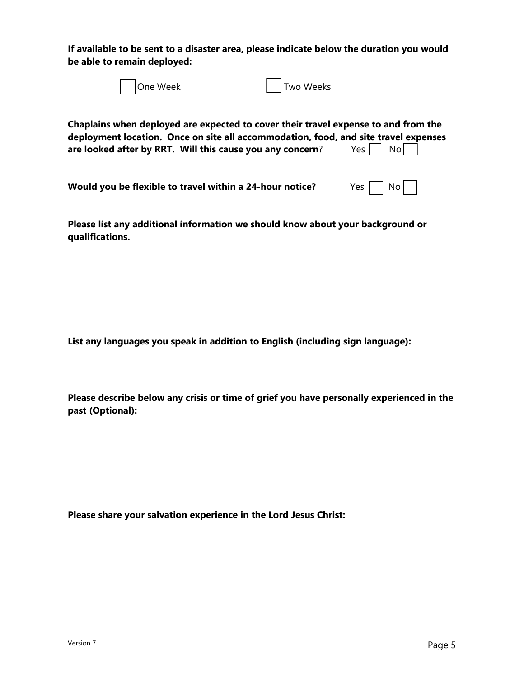**If available to be sent to a disaster area, please indicate below the duration you would be able to remain deployed:**

| One Week                                                  | Two Weeks                                                                                                                                                                                                             |
|-----------------------------------------------------------|-----------------------------------------------------------------------------------------------------------------------------------------------------------------------------------------------------------------------|
| are looked after by RRT. Will this cause you any concern? | Chaplains when deployed are expected to cover their travel expense to and from the<br>deployment location. Once on site all accommodation, food, and site travel expenses<br>$Yes \nightharpoonup No \nightharpoonup$ |

| Would you be flexible to travel within a 24-hour notice? | Yes $\Box$ No $\Box$ |
|----------------------------------------------------------|----------------------|
|----------------------------------------------------------|----------------------|

**Please list any additional information we should know about your background or qualifications.**

**List any languages you speak in addition to English (including sign language):** 

**Please describe below any crisis or time of grief you have personally experienced in the past (Optional):**

**Please share your salvation experience in the Lord Jesus Christ:**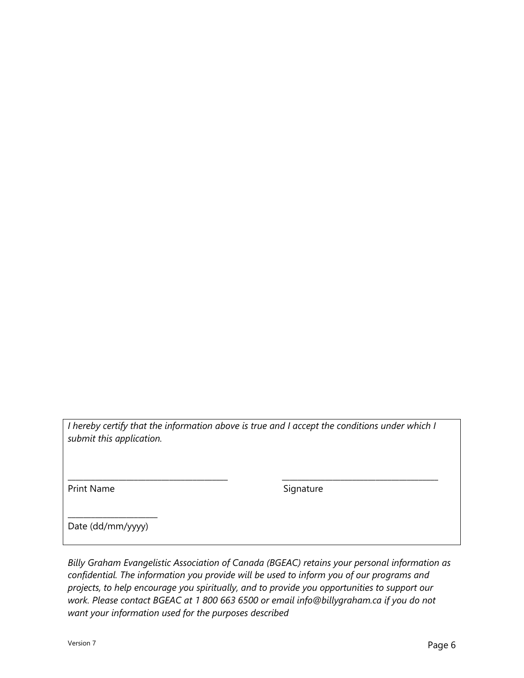*I hereby certify that the information above is true and I accept the conditions under which I submit this application.*

\_\_\_\_\_\_\_\_\_\_\_\_\_\_\_\_\_\_\_\_\_\_\_\_\_\_\_\_\_\_\_\_\_\_\_\_\_\_\_\_\_ \_\_\_\_\_\_\_\_\_\_\_\_\_\_\_\_\_\_\_\_\_\_\_\_\_\_\_\_\_\_\_\_\_\_\_\_\_\_\_\_

Print Name Signature

\_\_\_\_\_\_\_\_\_\_\_\_\_\_\_\_\_\_\_\_\_\_\_ Date (dd/mm/yyyy)

*Billy Graham Evangelistic Association of Canada (BGEAC) retains your personal information as confidential. The information you provide will be used to inform you of our programs and projects, to help encourage you spiritually, and to provide you opportunities to support our work. Please contact BGEAC at 1 800 663 6500 or email info@billygraham.ca if you do not want your information used for the purposes described*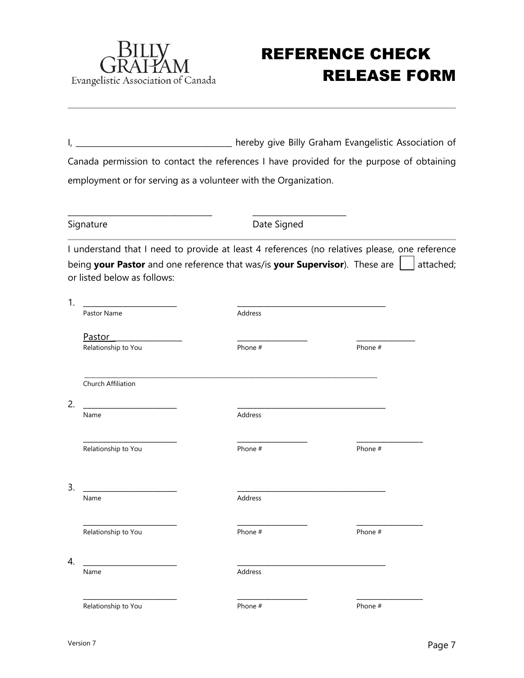

# REFERENCE CHECK RELEASE FORM

I, \_\_\_\_\_\_\_\_\_\_\_\_\_\_\_\_\_\_\_\_\_\_\_\_\_\_\_\_\_\_\_\_\_\_\_ hereby give Billy Graham Evangelistic Association of Canada permission to contact the references I have provided for the purpose of obtaining employment or for serving as a volunteer with the Organization.

\_\_\_\_\_\_\_\_\_\_\_\_\_\_\_\_\_\_\_\_\_\_\_\_\_\_\_\_\_\_\_\_\_\_\_\_\_ \_\_\_\_\_\_\_\_\_\_\_\_\_\_\_\_\_\_\_\_\_\_\_\_

Signature **Date Signed** 

I understand that I need to provide at least 4 references (no relatives please, one reference being **your Pastor** and one reference that was/is **your Supervisor**). These are **attached**; or listed below as follows:

| 1.                       |         |         |
|--------------------------|---------|---------|
| Pastor Name              | Address |         |
| Pastor                   |         |         |
| Relationship to You      | Phone # | Phone # |
| Church Affiliation       |         |         |
| 2.                       |         |         |
| Name                     | Address |         |
| Relationship to You      | Phone # | Phone # |
| 3.<br>Name               | Address |         |
| Relationship to You      | Phone # | Phone # |
| $\overline{4}$ .<br>Name | Address |         |
| Relationship to You      | Phone # | Phone # |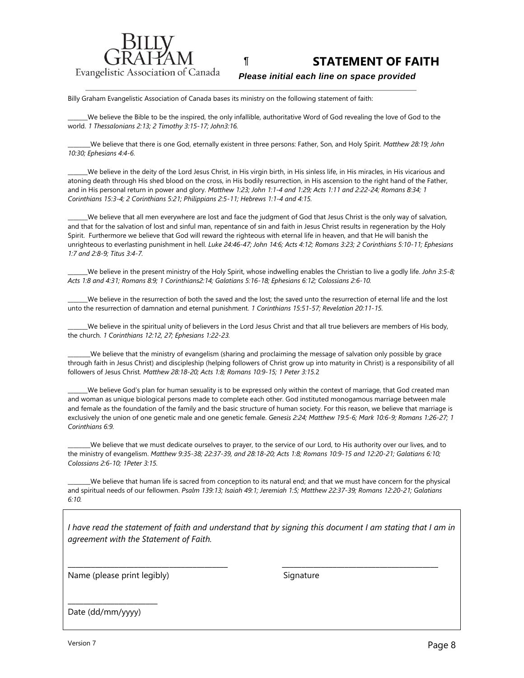

¶ **STATEMENT OF FAITH**

 *Please initial each line on space provided*

Billy Graham Evangelistic Association of Canada bases its ministry on the following statement of faith:

\_\_\_\_\_\_\_We believe the Bible to be the inspired, the only infallible, authoritative Word of God revealing the love of God to the world. *1 Thessalonians 2:13; 2 Timothy 3:15-17; John3:16.*

\_\_\_\_\_\_\_\_We believe that there is one God, eternally existent in three persons: Father, Son, and Holy Spirit. *Matthew 28:19; John 10:30; Ephesians 4:4-6*.

\_\_\_\_\_\_\_We believe in the deity of the Lord Jesus Christ, in His virgin birth, in His sinless life, in His miracles, in His vicarious and atoning death through His shed blood on the cross, in His bodily resurrection, in His ascension to the right hand of the Father, and in His personal return in power and glory. *Matthew 1:23; John 1:1-4 and 1:29; Acts 1:11 and 2:22-24; Romans 8:34; 1 Corinthians 15:3-4; 2 Corinthians 5:21; Philippians 2:5-11; Hebrews 1:1-4 and 4:15.*

We believe that all men everywhere are lost and face the judgment of God that Jesus Christ is the only way of salvation, and that for the salvation of lost and sinful man, repentance of sin and faith in Jesus Christ results in regeneration by the Holy Spirit. Furthermore we believe that God will reward the righteous with eternal life in heaven, and that He will banish the unrighteous to everlasting punishment in hell. *Luke 24:46-47; John 14:6; Acts 4:12; Romans 3:23; 2 Corinthians 5:10-11; Ephesians 1:7 and 2:8-9; Titus 3:4-7.*

\_\_\_\_\_\_\_We believe in the present ministry of the Holy Spirit, whose indwelling enables the Christian to live a godly life. *John 3:5-8; Acts 1:8 and 4:31; Romans 8:9; 1 Corinthians2:14; Galatians 5:16-18; Ephesians 6:12; Colossians 2:6-10.*

\_\_\_\_\_\_\_We believe in the resurrection of both the saved and the lost; the saved unto the resurrection of eternal life and the lost unto the resurrection of damnation and eternal punishment. *1 Corinthians 15:51-57; Revelation 20:11-15.*

\_\_\_\_\_\_\_We believe in the spiritual unity of believers in the Lord Jesus Christ and that all true believers are members of His body, the church. *1 Corinthians 12:12, 27; Ephesians 1:22-23.*

\_\_\_\_\_\_\_\_We believe that the ministry of evangelism (sharing and proclaiming the message of salvation only possible by grace through faith in Jesus Christ) and discipleship (helping followers of Christ grow up into maturity in Christ) is a responsibility of all followers of Jesus Christ*. Matthew 28:18-20; Acts 1:8; Romans 10:9-15; 1 Peter 3:15.*2

\_\_\_\_\_\_\_We believe God's plan for human sexuality is to be expressed only within the context of marriage, that God created man and woman as unique biological persons made to complete each other. God instituted monogamous marriage between male and female as the foundation of the family and the basic structure of human society. For this reason, we believe that marriage is exclusively the union of one genetic male and one genetic female. *Genesis 2:24; Matthew 19:5-6; Mark 10:6-9; Romans 1:26-27; 1 Corinthians 6:9.*

\_\_\_\_\_\_\_\_We believe that we must dedicate ourselves to prayer, to the service of our Lord, to His authority over our lives, and to the ministry of evangelism. *Matthew 9:35-38; 22:37-39, and 28:18-20; Acts 1:8; Romans 10:9-15 and 12:20-21; Galatians 6:10; Colossians 2:6-10; 1Peter 3:15.*

We believe that human life is sacred from conception to its natural end; and that we must have concern for the physical and spiritual needs of our fellowmen. *Psalm 139:13; Isaiah 49:1; Jeremiah 1:5; Matthew 22:37-39; Romans 12:20-21; Galatians 6:10.*

*I have read the statement of faith and understand that by signing this document I am stating that I am in agreement with the Statement of Faith.*

\_\_\_\_\_\_\_\_\_\_\_\_\_\_\_\_\_\_\_\_\_\_\_\_\_\_\_\_\_\_\_\_\_\_\_\_\_\_\_\_\_ \_\_\_\_\_\_\_\_\_\_\_\_\_\_\_\_\_\_\_\_\_\_\_\_\_\_\_\_\_\_\_\_\_\_\_\_\_\_\_\_

Name (please print legibly) Signature

Date (dd/mm/yyyy)

 $\frac{1}{2}$  ,  $\frac{1}{2}$  ,  $\frac{1}{2}$  ,  $\frac{1}{2}$  ,  $\frac{1}{2}$  ,  $\frac{1}{2}$  ,  $\frac{1}{2}$  ,  $\frac{1}{2}$  ,  $\frac{1}{2}$  ,  $\frac{1}{2}$  ,  $\frac{1}{2}$  ,  $\frac{1}{2}$  ,  $\frac{1}{2}$  ,  $\frac{1}{2}$  ,  $\frac{1}{2}$  ,  $\frac{1}{2}$  ,  $\frac{1}{2}$  ,  $\frac{1}{2}$  ,  $\frac{1$